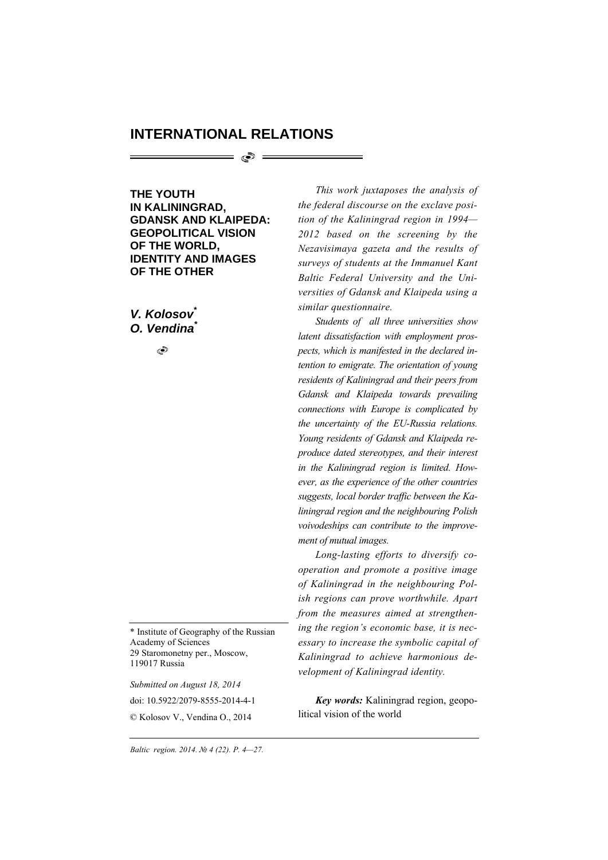## **INTERNATIONAL RELATIONS**

= ලා =

**THE YOUTH IN KALININGRAD, GDANSK AND KLAIPEDA: GEOPOLITICAL VISION OF THE WORLD, IDENTITY AND IMAGES OF THE OTHER** 

*V. Kolosov\* O. Vendina\**

٩

\* Institute of Geography of the Russian Academy of Sciences 29 Staromonetny per., Moscow, 119017 Russia

*Submitted on August 18, 2014*  doi: 10.5922/2079-8555-2014-4-1 © Kolosov V., Vendina O., 2014

*This work juxtaposes the analysis of the federal discourse on the exclave position of the Kaliningrad region in 1994— 2012 based on the screening by the Nezavisimaya gazeta and the results of surveys of students at the Immanuel Kant Baltic Federal University and the Universities of Gdansk and Klaipeda using a similar questionnaire.* 

*Students of all three universities show latent dissatisfaction with employment prospects, which is manifested in the declared intention to emigrate. The orientation of young residents of Kaliningrad and their peers from Gdansk and Klaipeda towards prevailing connections with Europe is complicated by the uncertainty of the EU-Russia relations. Young residents of Gdansk and Klaipeda reproduce dated stereotypes, and their interest in the Kaliningrad region is limited. However, as the experience of the other countries suggests, local border traffic between the Kaliningrad region and the neighbouring Polish voivodeships can contribute to the improvement of mutual images.* 

*Long-lasting efforts to diversify cooperation and promote a positive image of Kaliningrad in the neighbouring Polish regions can prove worthwhile. Apart from the measures aimed at strengthening the region's economic base, it is necessary to increase the symbolic capital of Kaliningrad to achieve harmonious development of Kaliningrad identity.* 

*Key words:* Kaliningrad region, geopolitical vision of the world

*4 Baltic region. 2014. № 4 (22). P. 4—27.*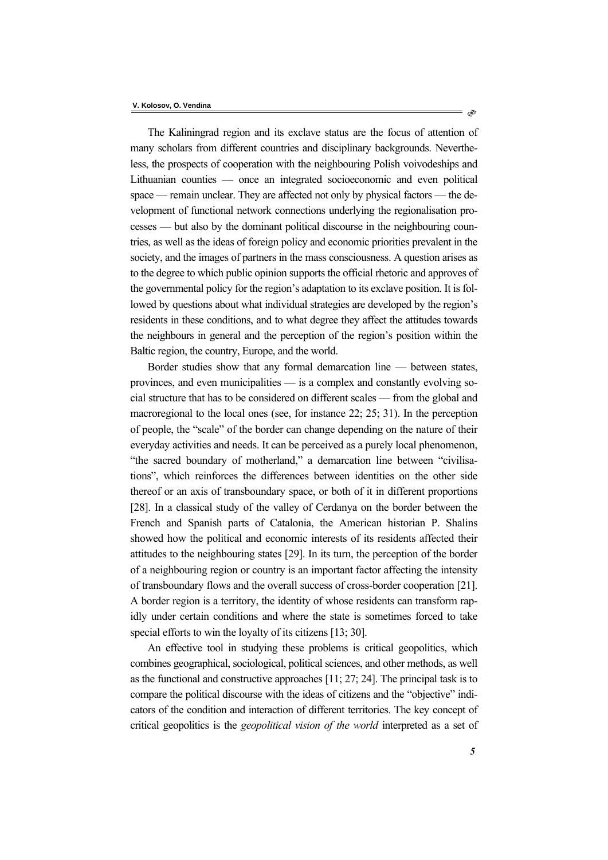The Kaliningrad region and its exclave status are the focus of attention of many scholars from different countries and disciplinary backgrounds. Nevertheless, the prospects of cooperation with the neighbouring Polish voivodeships and Lithuanian counties — once an integrated socioeconomic and even political space — remain unclear. They are affected not only by physical factors — the development of functional network connections underlying the regionalisation processes — but also by the dominant political discourse in the neighbouring countries, as well as the ideas of foreign policy and economic priorities prevalent in the society, and the images of partners in the mass consciousness. A question arises as to the degree to which public opinion supports the official rhetoric and approves of the governmental policy for the region's adaptation to its exclave position. It is followed by questions about what individual strategies are developed by the region's residents in these conditions, and to what degree they affect the attitudes towards the neighbours in general and the perception of the region's position within the Baltic region, the country, Europe, and the world.

Border studies show that any formal demarcation line — between states, provinces, and even municipalities — is a complex and constantly evolving social structure that has to be considered on different scales — from the global and macroregional to the local ones (see, for instance 22; 25; 31). In the perception of people, the "scale" of the border can change depending on the nature of their everyday activities and needs. It can be perceived as a purely local phenomenon, "the sacred boundary of motherland," a demarcation line between "civilisations", which reinforces the differences between identities on the other side thereof or an axis of transboundary space, or both of it in different proportions [28]. In a classical study of the valley of Cerdanya on the border between the French and Spanish parts of Catalonia, the American historian P. Shalins showed how the political and economic interests of its residents affected their attitudes to the neighbouring states [29]. In its turn, the perception of the border of a neighbouring region or country is an important factor affecting the intensity of transboundary flows and the overall success of cross-border cooperation [21]. A border region is a territory, the identity of whose residents can transform rapidly under certain conditions and where the state is sometimes forced to take special efforts to win the loyalty of its citizens [13; 30].

An effective tool in studying these problems is critical geopolitics, which combines geographical, sociological, political sciences, and other methods, as well as the functional and constructive approaches [11; 27; 24]. The principal task is to compare the political discourse with the ideas of citizens and the "objective" indicators of the condition and interaction of different territories. The key concept of critical geopolitics is the *geopolitical vision of the world* interpreted as a set of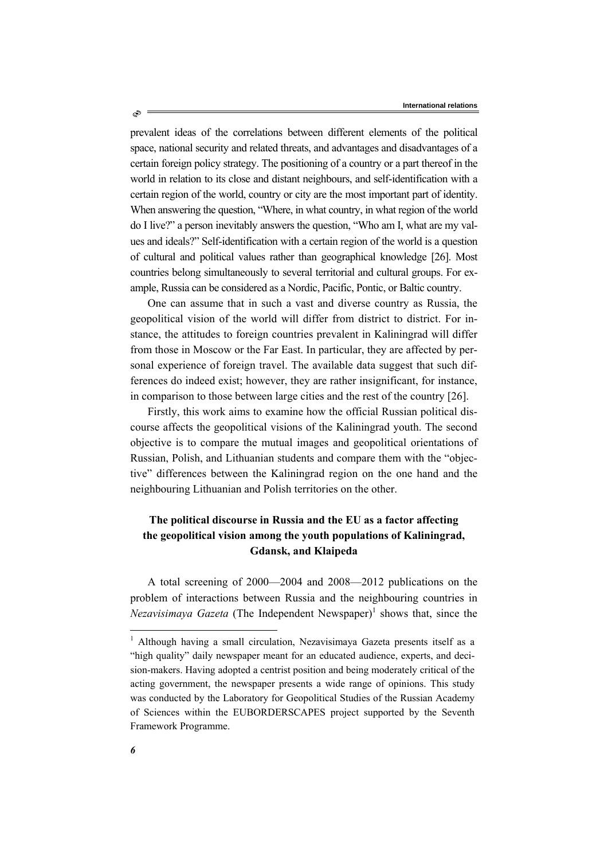prevalent ideas of the correlations between different elements of the political space, national security and related threats, and advantages and disadvantages of a certain foreign policy strategy. The positioning of a country or a part thereof in the world in relation to its close and distant neighbours, and self-identification with a certain region of the world, country or city are the most important part of identity. When answering the question, "Where, in what country, in what region of the world do I live?" a person inevitably answers the question, "Who am I, what are my values and ideals?" Self-identification with a certain region of the world is a question of cultural and political values rather than geographical knowledge [26]. Most countries belong simultaneously to several territorial and cultural groups. For example, Russia can be considered as a Nordic, Pacific, Pontic, or Baltic country.

One can assume that in such a vast and diverse country as Russia, the geopolitical vision of the world will differ from district to district. For instance, the attitudes to foreign countries prevalent in Kaliningrad will differ from those in Moscow or the Far East. In particular, they are affected by personal experience of foreign travel. The available data suggest that such differences do indeed exist; however, they are rather insignificant, for instance, in comparison to those between large cities and the rest of the country [26].

Firstly, this work aims to examine how the official Russian political discourse affects the geopolitical visions of the Kaliningrad youth. The second objective is to compare the mutual images and geopolitical orientations of Russian, Polish, and Lithuanian students and compare them with the "objective" differences between the Kaliningrad region on the one hand and the neighbouring Lithuanian and Polish territories on the other.

# **The political discourse in Russia and the EU as a factor affecting the geopolitical vision among the youth populations of Kaliningrad, Gdansk, and Klaipeda**

A total screening of 2000—2004 and 2008—2012 publications on the problem of interactions between Russia and the neighbouring countries in *Nezavisimaya Gazeta* (The Independent Newspaper)<sup>1</sup> shows that, since the

ھ،

l

<sup>&</sup>lt;sup>1</sup> Although having a small circulation, Nezavisimaya Gazeta presents itself as a "high quality" daily newspaper meant for an educated audience, experts, and decision-makers. Having adopted a centrist position and being moderately critical of the acting government, the newspaper presents a wide range of opinions. This study was conducted by the Laboratory for Geopolitical Studies of the Russian Academy of Sciences within the EUBORDERSCAPES project supported by the Seventh Framework Programme.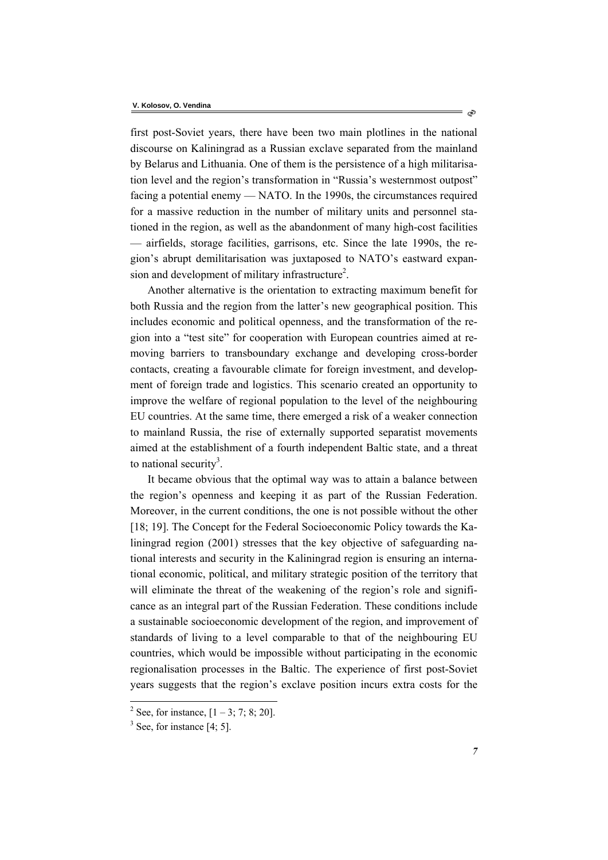first post-Soviet years, there have been two main plotlines in the national discourse on Kaliningrad as a Russian exclave separated from the mainland by Belarus and Lithuania. One of them is the persistence of a high militarisation level and the region's transformation in "Russia's westernmost outpost" facing a potential enemy — NATO. In the 1990s, the circumstances required for a massive reduction in the number of military units and personnel stationed in the region, as well as the abandonment of many high-cost facilities — airfields, storage facilities, garrisons, etc. Since the late 1990s, the region's abrupt demilitarisation was juxtaposed to NATO's eastward expansion and development of military infrastructure<sup>2</sup>.

Another alternative is the orientation to extracting maximum benefit for both Russia and the region from the latter's new geographical position. This includes economic and political openness, and the transformation of the region into a "test site" for cooperation with European countries aimed at removing barriers to transboundary exchange and developing cross-border contacts, creating a favourable climate for foreign investment, and development of foreign trade and logistics. This scenario created an opportunity to improve the welfare of regional population to the level of the neighbouring EU countries. At the same time, there emerged a risk of a weaker connection to mainland Russia, the rise of externally supported separatist movements aimed at the establishment of a fourth independent Baltic state, and a threat to national security<sup>3</sup>.

It became obvious that the optimal way was to attain a balance between the region's openness and keeping it as part of the Russian Federation. Moreover, in the current conditions, the one is not possible without the other [18; 19]. The Concept for the Federal Socioeconomic Policy towards the Kaliningrad region (2001) stresses that the key objective of safeguarding national interests and security in the Kaliningrad region is ensuring an international economic, political, and military strategic position of the territory that will eliminate the threat of the weakening of the region's role and significance as an integral part of the Russian Federation. These conditions include a sustainable socioeconomic development of the region, and improvement of standards of living to a level comparable to that of the neighbouring EU countries, which would be impossible without participating in the economic regionalisation processes in the Baltic. The experience of first post-Soviet years suggests that the region's exclave position incurs extra costs for the

l

ನಿ

<sup>&</sup>lt;sup>2</sup> See, for instance,  $[1 - 3; 7; 8; 20]$ .

 $3$  See, for instance [4; 5].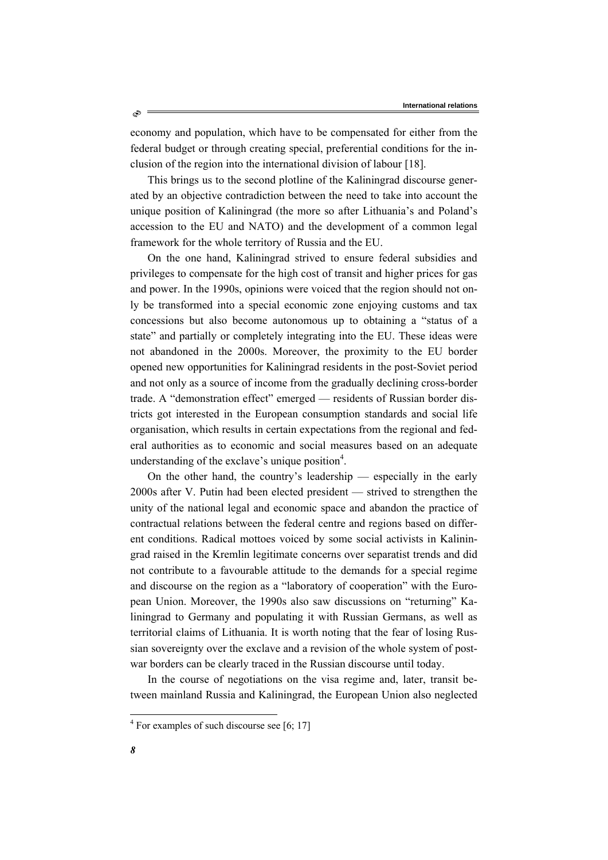economy and population, which have to be compensated for either from the federal budget or through creating special, preferential conditions for the inclusion of the region into the international division of labour [18].

This brings us to the second plotline of the Kaliningrad discourse generated by an objective contradiction between the need to take into account the unique position of Kaliningrad (the more so after Lithuania's and Poland's accession to the EU and NATO) and the development of a common legal framework for the whole territory of Russia and the EU.

On the one hand, Kaliningrad strived to ensure federal subsidies and privileges to compensate for the high cost of transit and higher prices for gas and power. In the 1990s, opinions were voiced that the region should not only be transformed into a special economic zone enjoying customs and tax concessions but also become autonomous up to obtaining a "status of a state" and partially or completely integrating into the EU. These ideas were not abandoned in the 2000s. Moreover, the proximity to the EU border opened new opportunities for Kaliningrad residents in the post-Soviet period and not only as a source of income from the gradually declining cross-border trade. A "demonstration effect" emerged — residents of Russian border districts got interested in the European consumption standards and social life organisation, which results in certain expectations from the regional and federal authorities as to economic and social measures based on an adequate understanding of the exclave's unique position<sup>4</sup>.

On the other hand, the country's leadership — especially in the early 2000s after V. Putin had been elected president — strived to strengthen the unity of the national legal and economic space and abandon the practice of contractual relations between the federal centre and regions based on different conditions. Radical mottoes voiced by some social activists in Kaliningrad raised in the Kremlin legitimate concerns over separatist trends and did not contribute to a favourable attitude to the demands for a special regime and discourse on the region as a "laboratory of cooperation" with the European Union. Moreover, the 1990s also saw discussions on "returning" Kaliningrad to Germany and populating it with Russian Germans, as well as territorial claims of Lithuania. It is worth noting that the fear of losing Russian sovereignty over the exclave and a revision of the whole system of postwar borders can be clearly traced in the Russian discourse until today.

In the course of negotiations on the visa regime and, later, transit between mainland Russia and Kaliningrad, the European Union also neglected

 4 For examples of such discourse see [6; 17]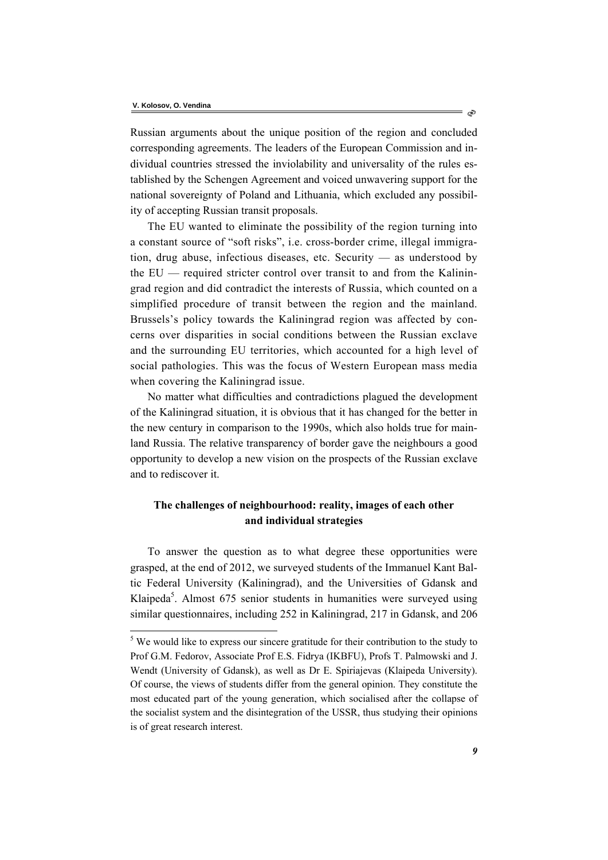l

Russian arguments about the unique position of the region and concluded corresponding agreements. The leaders of the European Commission and individual countries stressed the inviolability and universality of the rules established by the Schengen Agreement and voiced unwavering support for the national sovereignty of Poland and Lithuania, which excluded any possibility of accepting Russian transit proposals.

The EU wanted to eliminate the possibility of the region turning into a constant source of "soft risks", i.e. cross-border crime, illegal immigration, drug abuse, infectious diseases, etc. Security — as understood by the EU — required stricter control over transit to and from the Kaliningrad region and did contradict the interests of Russia, which counted on a simplified procedure of transit between the region and the mainland. Brussels's policy towards the Kaliningrad region was affected by concerns over disparities in social conditions between the Russian exclave and the surrounding EU territories, which accounted for a high level of social pathologies. This was the focus of Western European mass media when covering the Kaliningrad issue.

No matter what difficulties and contradictions plagued the development of the Kaliningrad situation, it is obvious that it has changed for the better in the new century in comparison to the 1990s, which also holds true for mainland Russia. The relative transparency of border gave the neighbours a good opportunity to develop a new vision on the prospects of the Russian exclave and to rediscover it.

## **The challenges of neighbourhood: reality, images of each other and individual strategies**

To answer the question as to what degree these opportunities were grasped, at the end of 2012, we surveyed students of the Immanuel Kant Baltic Federal University (Kaliningrad), and the Universities of Gdansk and Klaipeda<sup>5</sup>. Almost 675 senior students in humanities were surveyed using similar questionnaires, including 252 in Kaliningrad, 217 in Gdansk, and 206

ನಿ

 $5$  We would like to express our sincere gratitude for their contribution to the study to Prof G.M. Fedorov, Associate Prof E.S. Fidrya (IKBFU), Profs T. Palmowski and J. Wendt (University of Gdansk), as well as Dr E. Spiriajevas (Klaipeda University). Of course, the views of students differ from the general opinion. They constitute the most educated part of the young generation, which socialised after the collapse of the socialist system and the disintegration of the USSR, thus studying their opinions is of great research interest.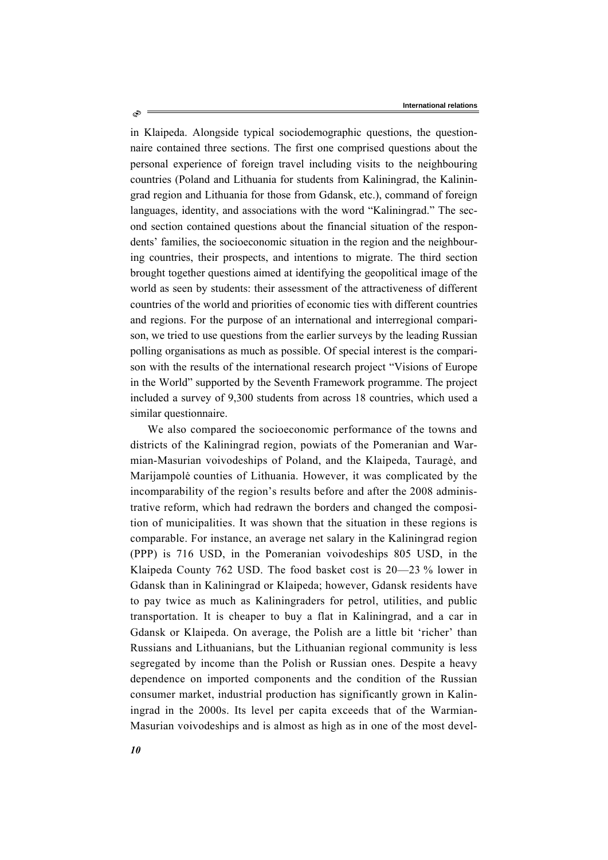in Klaipeda. Alongside typical sociodemographic questions, the questionnaire contained three sections. The first one comprised questions about the personal experience of foreign travel including visits to the neighbouring countries (Poland and Lithuania for students from Kaliningrad, the Kaliningrad region and Lithuania for those from Gdansk, etc.), command of foreign languages, identity, and associations with the word "Kaliningrad." The second section contained questions about the financial situation of the respondents' families, the socioeconomic situation in the region and the neighbouring countries, their prospects, and intentions to migrate. The third section brought together questions aimed at identifying the geopolitical image of the world as seen by students: their assessment of the attractiveness of different countries of the world and priorities of economic ties with different countries and regions. For the purpose of an international and interregional comparison, we tried to use questions from the earlier surveys by the leading Russian polling organisations as much as possible. Of special interest is the comparison with the results of the international research project "Visions of Europe in the World" supported by the Seventh Framework programme. The project included a survey of 9,300 students from across 18 countries, which used a similar questionnaire.

We also compared the socioeconomic performance of the towns and districts of the Kaliningrad region, powiats of the Pomeranian and Warmian-Masurian voivodeships of Poland, and the Klaipeda, Tauragė, and Marijampolė counties of Lithuania. However, it was complicated by the incomparability of the region's results before and after the 2008 administrative reform, which had redrawn the borders and changed the composition of municipalities. It was shown that the situation in these regions is comparable. For instance, an average net salary in the Kaliningrad region (PPP) is 716 USD, in the Pomeranian voivodeships 805 USD, in the Klaipeda County 762 USD. The food basket cost is 20—23 % lower in Gdansk than in Kaliningrad or Klaipeda; however, Gdansk residents have to pay twice as much as Kaliningraders for petrol, utilities, and public transportation. It is cheaper to buy a flat in Kaliningrad, and a car in Gdansk or Klaipeda. On average, the Polish are a little bit 'richer' than Russians and Lithuanians, but the Lithuanian regional community is less segregated by income than the Polish or Russian ones. Despite a heavy dependence on imported components and the condition of the Russian consumer market, industrial production has significantly grown in Kaliningrad in the 2000s. Its level per capita exceeds that of the Warmian-Masurian voivodeships and is almost as high as in one of the most devel-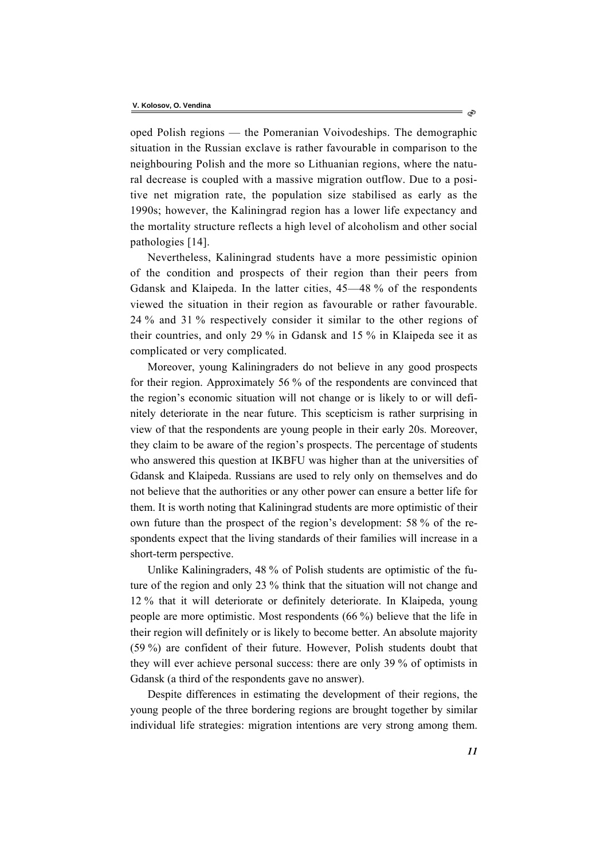oped Polish regions — the Pomeranian Voivodeships. The demographic situation in the Russian exclave is rather favourable in comparison to the neighbouring Polish and the more so Lithuanian regions, where the natural decrease is coupled with a massive migration outflow. Due to a positive net migration rate, the population size stabilised as early as the 1990s; however, the Kaliningrad region has a lower life expectancy and the mortality structure reflects a high level of alcoholism and other social pathologies [14].

Nevertheless, Kaliningrad students have a more pessimistic opinion of the condition and prospects of their region than their peers from Gdansk and Klaipeda. In the latter cities, 45—48 % of the respondents viewed the situation in their region as favourable or rather favourable. 24 % and 31 % respectively consider it similar to the other regions of their countries, and only 29 % in Gdansk and 15 % in Klaipeda see it as complicated or very complicated.

Moreover, young Kaliningraders do not believe in any good prospects for their region. Approximately 56 % of the respondents are convinced that the region's economic situation will not change or is likely to or will definitely deteriorate in the near future. This scepticism is rather surprising in view of that the respondents are young people in their early 20s. Moreover, they claim to be aware of the region's prospects. The percentage of students who answered this question at IKBFU was higher than at the universities of Gdansk and Klaipeda. Russians are used to rely only on themselves and do not believe that the authorities or any other power can ensure a better life for them. It is worth noting that Kaliningrad students are more optimistic of their own future than the prospect of the region's development: 58 % of the respondents expect that the living standards of their families will increase in a short-term perspective.

Unlike Kaliningraders, 48 % of Polish students are optimistic of the future of the region and only 23 % think that the situation will not change and 12 % that it will deteriorate or definitely deteriorate. In Klaipeda, young people are more optimistic. Most respondents (66 %) believe that the life in their region will definitely or is likely to become better. An absolute majority (59 %) are confident of their future. However, Polish students doubt that they will ever achieve personal success: there are only 39 % of optimists in Gdansk (a third of the respondents gave no answer).

Despite differences in estimating the development of their regions, the young people of the three bordering regions are brought together by similar individual life strategies: migration intentions are very strong among them.

ನಿ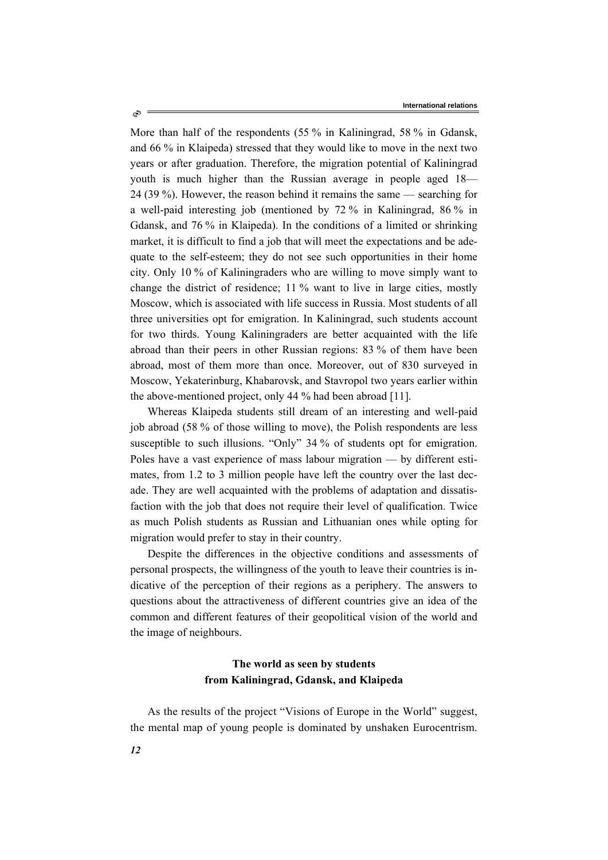More than half of the respondents (55 % in Kaliningrad, 58 % in Gdansk, and 66 % in Klaipeda) stressed that they would like to move in the next two years or after graduation. Therefore, the migration potential of Kaliningrad youth is much higher than the Russian average in people aged 18— 24 (39 %). However, the reason behind it remains the same — searching for a well-paid interesting job (mentioned by 72 % in Kaliningrad, 86 % in Gdansk, and 76 % in Klaipeda). In the conditions of a limited or shrinking market, it is difficult to find a job that will meet the expectations and be adequate to the self-esteem; they do not see such opportunities in their home city. Only 10 % of Kaliningraders who are willing to move simply want to change the district of residence; 11 % want to live in large cities, mostly Moscow, which is associated with life success in Russia. Most students of all three universities opt for emigration. In Kaliningrad, such students account for two thirds. Young Kaliningraders are better acquainted with the life abroad than their peers in other Russian regions: 83 % of them have been abroad, most of them more than once. Moreover, out of 830 surveyed in Moscow, Yekaterinburg, Khabarovsk, and Stavropol two years earlier within the above-mentioned project, only 44 % had been abroad [11].

Whereas Klaipeda students still dream of an interesting and well-paid job abroad (58 % of those willing to move), the Polish respondents are less susceptible to such illusions. "Only" 34 % of students opt for emigration. Poles have a vast experience of mass labour migration — by different estimates, from 1.2 to 3 million people have left the country over the last decade. They are well acquainted with the problems of adaptation and dissatisfaction with the job that does not require their level of qualification. Twice as much Polish students as Russian and Lithuanian ones while opting for migration would prefer to stay in their country.

Despite the differences in the objective conditions and assessments of personal prospects, the willingness of the youth to leave their countries is indicative of the perception of their regions as a periphery. The answers to questions about the attractiveness of different countries give an idea of the common and different features of their geopolitical vision of the world and the image of neighbours.

## **The world as seen by students from Kaliningrad, Gdansk, and Klaipeda**

As the results of the project "Visions of Europe in the World" suggest, the mental map of young people is dominated by unshaken Eurocentrism.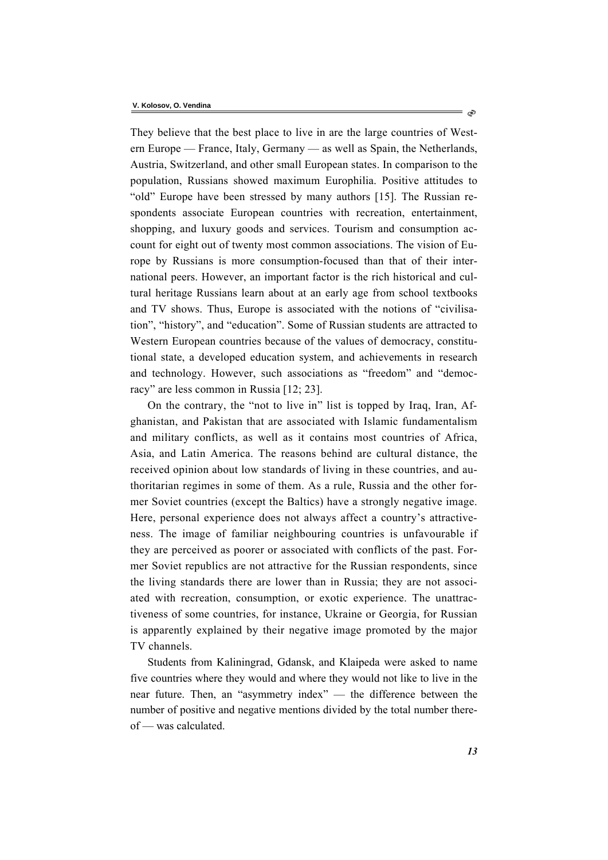They believe that the best place to live in are the large countries of Western Europe — France, Italy, Germany — as well as Spain, the Netherlands, Austria, Switzerland, and other small European states. In comparison to the population, Russians showed maximum Europhilia. Positive attitudes to "old" Europe have been stressed by many authors [15]. The Russian respondents associate European countries with recreation, entertainment, shopping, and luxury goods and services. Tourism and consumption account for eight out of twenty most common associations. The vision of Europe by Russians is more consumption-focused than that of their international peers. However, an important factor is the rich historical and cultural heritage Russians learn about at an early age from school textbooks and TV shows. Thus, Europe is associated with the notions of "civilisation", "history", and "education". Some of Russian students are attracted to Western European countries because of the values of democracy, constitutional state, a developed education system, and achievements in research and technology. However, such associations as "freedom" and "democracy" are less common in Russia [12; 23].

On the contrary, the "not to live in" list is topped by Iraq, Iran, Afghanistan, and Pakistan that are associated with Islamic fundamentalism and military conflicts, as well as it contains most countries of Africa, Asia, and Latin America. The reasons behind are cultural distance, the received opinion about low standards of living in these countries, and authoritarian regimes in some of them. As a rule, Russia and the other former Soviet countries (except the Baltics) have a strongly negative image. Here, personal experience does not always affect a country's attractiveness. The image of familiar neighbouring countries is unfavourable if they are perceived as poorer or associated with conflicts of the past. Former Soviet republics are not attractive for the Russian respondents, since the living standards there are lower than in Russia; they are not associated with recreation, consumption, or exotic experience. The unattractiveness of some countries, for instance, Ukraine or Georgia, for Russian is apparently explained by their negative image promoted by the major TV channels.

Students from Kaliningrad, Gdansk, and Klaipeda were asked to name five countries where they would and where they would not like to live in the near future. Then, an "asymmetry index" — the difference between the number of positive and negative mentions divided by the total number thereof — was calculated.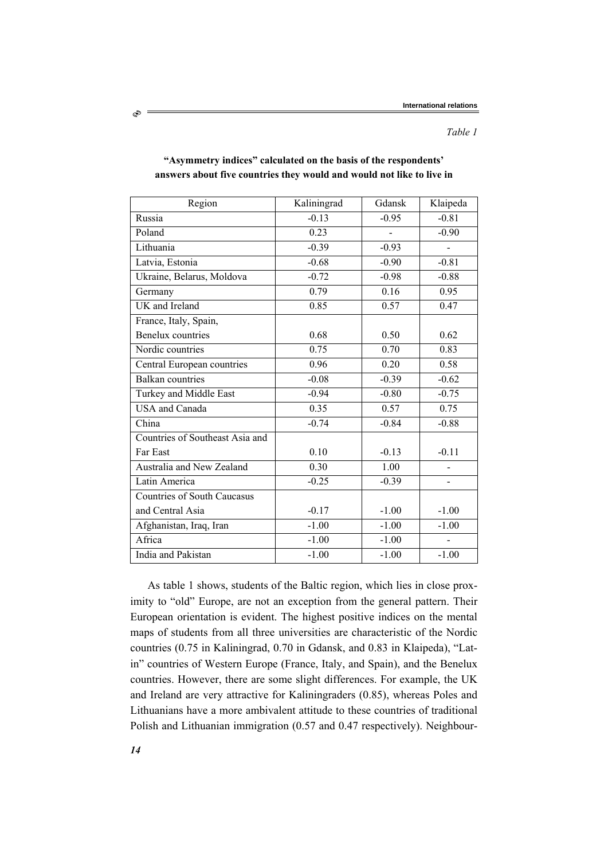| Region                             | Kaliningrad | Gdansk  | Klaipeda |
|------------------------------------|-------------|---------|----------|
| Russia                             | $-0.13$     | $-0.95$ | $-0.81$  |
| Poland                             | 0.23        |         | $-0.90$  |
| Lithuania                          | $-0.39$     | $-0.93$ |          |
| Latvia, Estonia                    | $-0.68$     | $-0.90$ | $-0.81$  |
| Ukraine, Belarus, Moldova          | $-0.72$     | $-0.98$ | $-0.88$  |
| Germany                            | 0.79        | 0.16    | 0.95     |
| UK and Ireland                     | 0.85        | 0.57    | 0.47     |
| France, Italy, Spain,              |             |         |          |
| Benelux countries                  | 0.68        | 0.50    | 0.62     |
| Nordic countries                   | 0.75        | 0.70    | 0.83     |
| Central European countries         | 0.96        | 0.20    | 0.58     |
| <b>Balkan</b> countries            | $-0.08$     | $-0.39$ | $-0.62$  |
| Turkey and Middle East             | $-0.94$     | $-0.80$ | $-0.75$  |
| <b>USA</b> and Canada              | 0.35        | 0.57    | 0.75     |
| China                              | $-0.74$     | $-0.84$ | $-0.88$  |
| Countries of Southeast Asia and    |             |         |          |
| Far East                           | 0.10        | $-0.13$ | $-0.11$  |
| Australia and New Zealand          | 0.30        | 1.00    |          |
| Latin America                      | $-0.25$     | $-0.39$ |          |
| <b>Countries of South Caucasus</b> |             |         |          |
| and Central Asia                   | $-0.17$     | $-1.00$ | $-1.00$  |
| Afghanistan, Iraq, Iran            | $-1.00$     | $-1.00$ | $-1.00$  |
| Africa                             | $-1.00$     | $-1.00$ |          |
| India and Pakistan                 | $-1.00$     | $-1.00$ | $-1.00$  |

### **"Asymmetry indices" calculated on the basis of the respondents' answers about five countries they would and would not like to live in**

As table 1 shows, students of the Baltic region, which lies in close proximity to "old" Europe, are not an exception from the general pattern. Their European orientation is evident. The highest positive indices on the mental maps of students from all three universities are characteristic of the Nordic countries (0.75 in Kaliningrad, 0.70 in Gdansk, and 0.83 in Klaipeda), "Latin" countries of Western Europe (France, Italy, and Spain), and the Benelux countries. However, there are some slight differences. For example, the UK and Ireland are very attractive for Kaliningraders (0.85), whereas Poles and Lithuanians have a more ambivalent attitude to these countries of traditional Polish and Lithuanian immigration (0.57 and 0.47 respectively). Neighbour-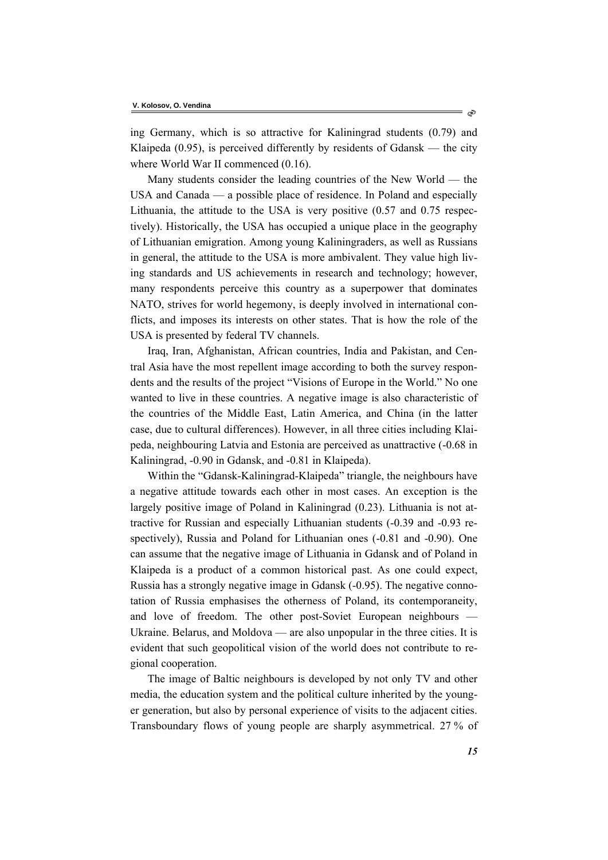ing Germany, which is so attractive for Kaliningrad students (0.79) and Klaipeda  $(0.95)$ , is perceived differently by residents of Gdansk — the city where World War II commenced  $(0.16)$ .

Many students consider the leading countries of the New World — the USA and Canada — a possible place of residence. In Poland and especially Lithuania, the attitude to the USA is very positive (0.57 and 0.75 respectively). Historically, the USA has occupied a unique place in the geography of Lithuanian emigration. Among young Kaliningraders, as well as Russians in general, the attitude to the USA is more ambivalent. They value high living standards and US achievements in research and technology; however, many respondents perceive this country as a superpower that dominates NATO, strives for world hegemony, is deeply involved in international conflicts, and imposes its interests on other states. That is how the role of the USA is presented by federal TV channels.

Iraq, Iran, Afghanistan, African countries, India and Pakistan, and Central Asia have the most repellent image according to both the survey respondents and the results of the project "Visions of Europe in the World." No one wanted to live in these countries. A negative image is also characteristic of the countries of the Middle East, Latin America, and China (in the latter case, due to cultural differences). However, in all three cities including Klaipeda, neighbouring Latvia and Estonia are perceived as unattractive (-0.68 in Kaliningrad, -0.90 in Gdansk, and -0.81 in Klaipeda).

Within the "Gdansk-Kaliningrad-Klaipeda" triangle, the neighbours have a negative attitude towards each other in most cases. An exception is the largely positive image of Poland in Kaliningrad (0.23). Lithuania is not attractive for Russian and especially Lithuanian students (-0.39 and -0.93 respectively), Russia and Poland for Lithuanian ones (-0.81 and -0.90). One can assume that the negative image of Lithuania in Gdansk and of Poland in Klaipeda is a product of a common historical past. As one could expect, Russia has a strongly negative image in Gdansk (-0.95). The negative connotation of Russia emphasises the otherness of Poland, its contemporaneity, and love of freedom. The other post-Soviet European neighbours — Ukraine. Belarus, and Moldova — are also unpopular in the three cities. It is evident that such geopolitical vision of the world does not contribute to regional cooperation.

The image of Baltic neighbours is developed by not only TV and other media, the education system and the political culture inherited by the younger generation, but also by personal experience of visits to the adjacent cities. Transboundary flows of young people are sharply asymmetrical. 27 % of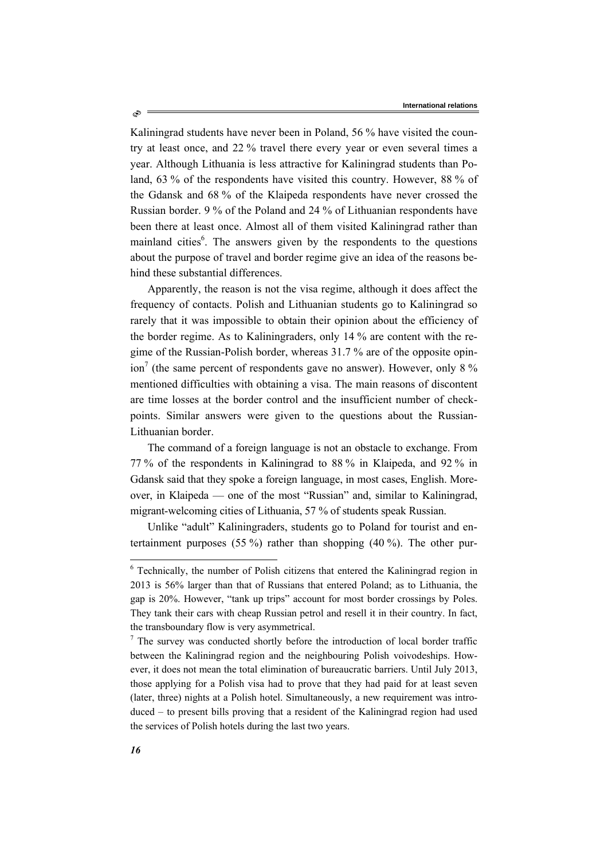Kaliningrad students have never been in Poland, 56 % have visited the country at least once, and 22 % travel there every year or even several times a year. Although Lithuania is less attractive for Kaliningrad students than Poland, 63 % of the respondents have visited this country. However, 88 % of the Gdansk and 68 % of the Klaipeda respondents have never crossed the Russian border. 9 % of the Poland and 24 % of Lithuanian respondents have been there at least once. Almost all of them visited Kaliningrad rather than mainland cities<sup>6</sup>. The answers given by the respondents to the questions about the purpose of travel and border regime give an idea of the reasons behind these substantial differences.

Apparently, the reason is not the visa regime, although it does affect the frequency of contacts. Polish and Lithuanian students go to Kaliningrad so rarely that it was impossible to obtain their opinion about the efficiency of the border regime. As to Kaliningraders, only 14 % are content with the regime of the Russian-Polish border, whereas 31.7 % are of the opposite opinion<sup>7</sup> (the same percent of respondents gave no answer). However, only 8  $\%$ mentioned difficulties with obtaining a visa. The main reasons of discontent are time losses at the border control and the insufficient number of checkpoints. Similar answers were given to the questions about the Russian-Lithuanian border.

The command of a foreign language is not an obstacle to exchange. From 77 % of the respondents in Kaliningrad to 88 % in Klaipeda, and 92 % in Gdansk said that they spoke a foreign language, in most cases, English. Moreover, in Klaipeda — one of the most "Russian" and, similar to Kaliningrad, migrant-welcoming cities of Lithuania, 57 % of students speak Russian.

Unlike "adult" Kaliningraders, students go to Poland for tourist and entertainment purposes (55 %) rather than shopping (40 %). The other pur-

Ò

l

<sup>&</sup>lt;sup>6</sup> Technically, the number of Polish citizens that entered the Kaliningrad region in 2013 is 56% larger than that of Russians that entered Poland; as to Lithuania, the gap is 20%. However, "tank up trips" account for most border crossings by Poles. They tank their cars with cheap Russian petrol and resell it in their country. In fact, the transboundary flow is very asymmetrical.

 $7$  The survey was conducted shortly before the introduction of local border traffic between the Kaliningrad region and the neighbouring Polish voivodeships. However, it does not mean the total elimination of bureaucratic barriers. Until July 2013, those applying for a Polish visa had to prove that they had paid for at least seven (later, three) nights at a Polish hotel. Simultaneously, a new requirement was introduced – to present bills proving that a resident of the Kaliningrad region had used the services of Polish hotels during the last two years.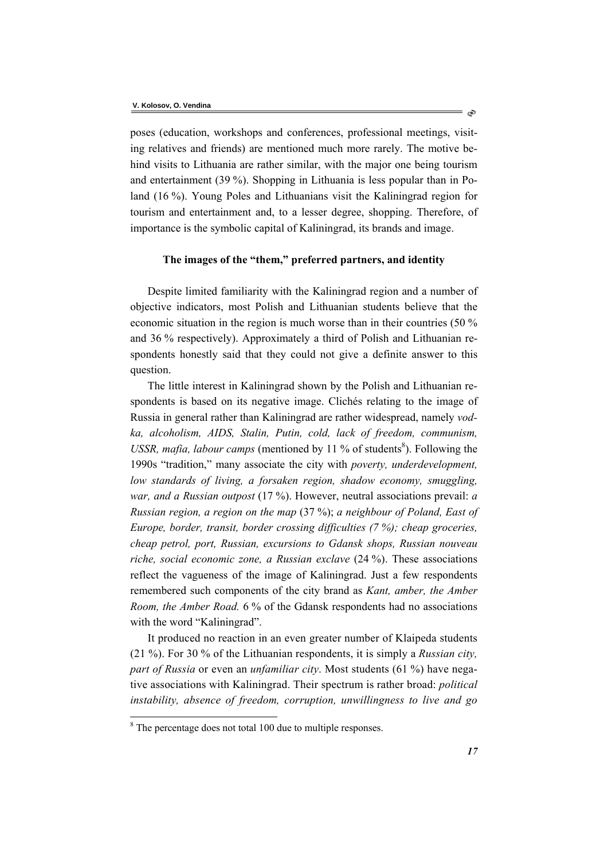poses (education, workshops and conferences, professional meetings, visiting relatives and friends) are mentioned much more rarely. The motive behind visits to Lithuania are rather similar, with the major one being tourism and entertainment (39 %). Shopping in Lithuania is less popular than in Poland (16 %). Young Poles and Lithuanians visit the Kaliningrad region for tourism and entertainment and, to a lesser degree, shopping. Therefore, of importance is the symbolic capital of Kaliningrad, its brands and image.

### **The images of the "them," preferred partners, and identity**

Despite limited familiarity with the Kaliningrad region and a number of objective indicators, most Polish and Lithuanian students believe that the economic situation in the region is much worse than in their countries (50 % and 36 % respectively). Approximately a third of Polish and Lithuanian respondents honestly said that they could not give a definite answer to this question.

The little interest in Kaliningrad shown by the Polish and Lithuanian respondents is based on its negative image. Clichés relating to the image of Russia in general rather than Kaliningrad are rather widespread, namely *vodka, alcoholism, AIDS, Stalin, Putin, cold, lack of freedom, communism,*  USSR, mafia, labour camps (mentioned by 11 % of students<sup>8</sup>). Following the 1990s "tradition," many associate the city with *poverty, underdevelopment, low standards of living, a forsaken region, shadow economy, smuggling, war, and a Russian outpost* (17 %). However, neutral associations prevail: *a Russian region, a region on the map* (37 %); *a neighbour of Poland, East of Europe, border, transit, border crossing difficulties (7 %); cheap groceries, cheap petrol, port, Russian, excursions to Gdansk shops, Russian nouveau riche, social economic zone, a Russian exclave* (24 %). These associations reflect the vagueness of the image of Kaliningrad. Just a few respondents remembered such components of the city brand as *Kant, amber, the Amber Room, the Amber Road.* 6 % of the Gdansk respondents had no associations with the word "Kaliningrad".

It produced no reaction in an even greater number of Klaipeda students (21 %). For 30 % of the Lithuanian respondents, it is simply a *Russian city, part of Russia* or even an *unfamiliar city*. Most students (61 %) have negative associations with Kaliningrad. Their spectrum is rather broad: *political instability, absence of freedom, corruption, unwillingness to live and go* 

 $\overline{a}$ 

<sup>&</sup>lt;sup>8</sup> The percentage does not total 100 due to multiple responses.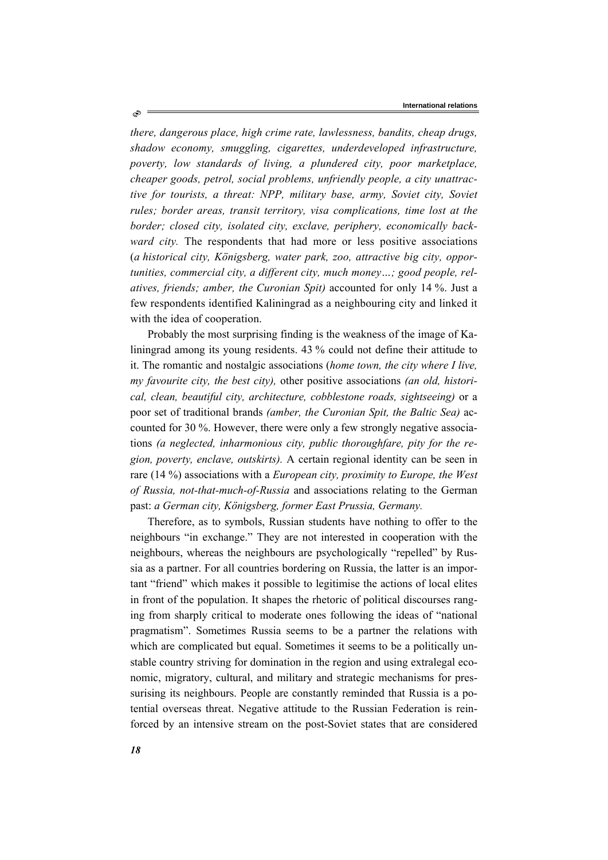*there, dangerous place, high crime rate, lawlessness, bandits, cheap drugs, shadow economy, smuggling, cigarettes, underdeveloped infrastructure, poverty, low standards of living, a plundered city, poor marketplace, cheaper goods, petrol, social problems, unfriendly people, a city unattractive for tourists, a threat: NPP, military base, army, Soviet city, Soviet rules; border areas, transit territory, visa complications, time lost at the border; closed city, isolated city, exclave, periphery, economically backward city*. The respondents that had more or less positive associations (*a historical city, Königsberg, water park, zoo, attractive big city, opportunities, commercial city, a different city, much money…; good people, relatives, friends; amber, the Curonian Spit)* accounted for only 14 %. Just a few respondents identified Kaliningrad as a neighbouring city and linked it with the idea of cooperation.

Probably the most surprising finding is the weakness of the image of Kaliningrad among its young residents. 43 % could not define their attitude to it. The romantic and nostalgic associations (*home town, the city where I live, my favourite city, the best city),* other positive associations *(an old, historical, clean, beautiful city, architecture, cobblestone roads, sightseeing)* or a poor set of traditional brands *(amber, the Curonian Spit, the Baltic Sea)* accounted for 30 %. However, there were only a few strongly negative associations *(a neglected, inharmonious city, public thoroughfare, pity for the region, poverty, enclave, outskirts).* A certain regional identity can be seen in rare (14 %) associations with a *European city, proximity to Europe, the West of Russia, not-that-much-of-Russia* and associations relating to the German past: *a German city, Königsberg, former East Prussia, Germany.* 

Therefore, as to symbols, Russian students have nothing to offer to the neighbours "in exchange." They are not interested in cooperation with the neighbours, whereas the neighbours are psychologically "repelled" by Russia as a partner. For all countries bordering on Russia, the latter is an important "friend" which makes it possible to legitimise the actions of local elites in front of the population. It shapes the rhetoric of political discourses ranging from sharply critical to moderate ones following the ideas of "national pragmatism". Sometimes Russia seems to be a partner the relations with which are complicated but equal. Sometimes it seems to be a politically unstable country striving for domination in the region and using extralegal economic, migratory, cultural, and military and strategic mechanisms for pressurising its neighbours. People are constantly reminded that Russia is a potential overseas threat. Negative attitude to the Russian Federation is reinforced by an intensive stream on the post-Soviet states that are considered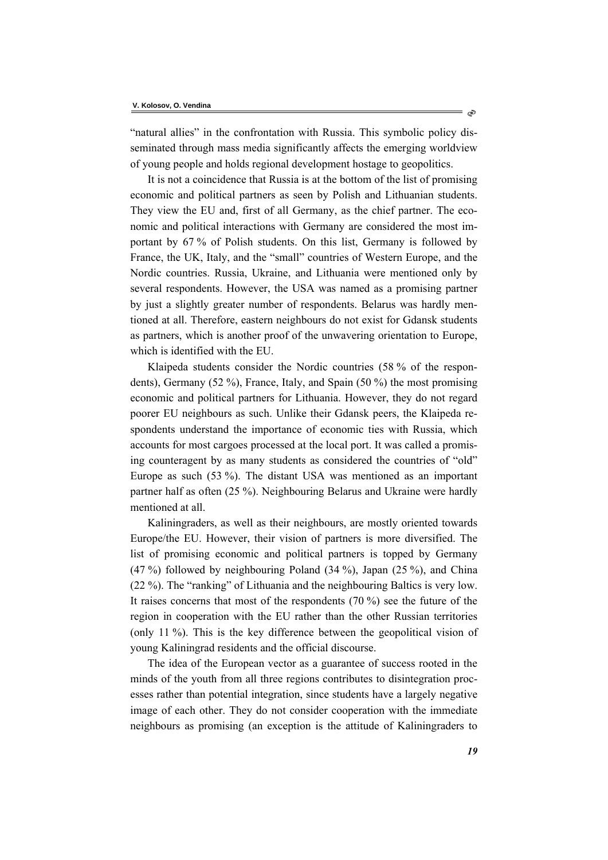"natural allies" in the confrontation with Russia. This symbolic policy disseminated through mass media significantly affects the emerging worldview of young people and holds regional development hostage to geopolitics.

It is not a coincidence that Russia is at the bottom of the list of promising economic and political partners as seen by Polish and Lithuanian students. They view the EU and, first of all Germany, as the chief partner. The economic and political interactions with Germany are considered the most important by 67 % of Polish students. On this list, Germany is followed by France, the UK, Italy, and the "small" countries of Western Europe, and the Nordic countries. Russia, Ukraine, and Lithuania were mentioned only by several respondents. However, the USA was named as a promising partner by just a slightly greater number of respondents. Belarus was hardly mentioned at all. Therefore, eastern neighbours do not exist for Gdansk students as partners, which is another proof of the unwavering orientation to Europe, which is identified with the EU.

Klaipeda students consider the Nordic countries (58 % of the respondents), Germany (52 %), France, Italy, and Spain (50 %) the most promising economic and political partners for Lithuania. However, they do not regard poorer EU neighbours as such. Unlike their Gdansk peers, the Klaipeda respondents understand the importance of economic ties with Russia, which accounts for most cargoes processed at the local port. It was called a promising counteragent by as many students as considered the countries of "old" Europe as such (53 %). The distant USA was mentioned as an important partner half as often (25 %). Neighbouring Belarus and Ukraine were hardly mentioned at all.

Kaliningraders, as well as their neighbours, are mostly oriented towards Europe/the EU. However, their vision of partners is more diversified. The list of promising economic and political partners is topped by Germany (47 %) followed by neighbouring Poland (34 %), Japan (25 %), and China (22 %). The "ranking" of Lithuania and the neighbouring Baltics is very low. It raises concerns that most of the respondents (70 %) see the future of the region in cooperation with the EU rather than the other Russian territories (only 11 %). This is the key difference between the geopolitical vision of young Kaliningrad residents and the official discourse.

The idea of the European vector as a guarantee of success rooted in the minds of the youth from all three regions contributes to disintegration processes rather than potential integration, since students have a largely negative image of each other. They do not consider cooperation with the immediate neighbours as promising (an exception is the attitude of Kaliningraders to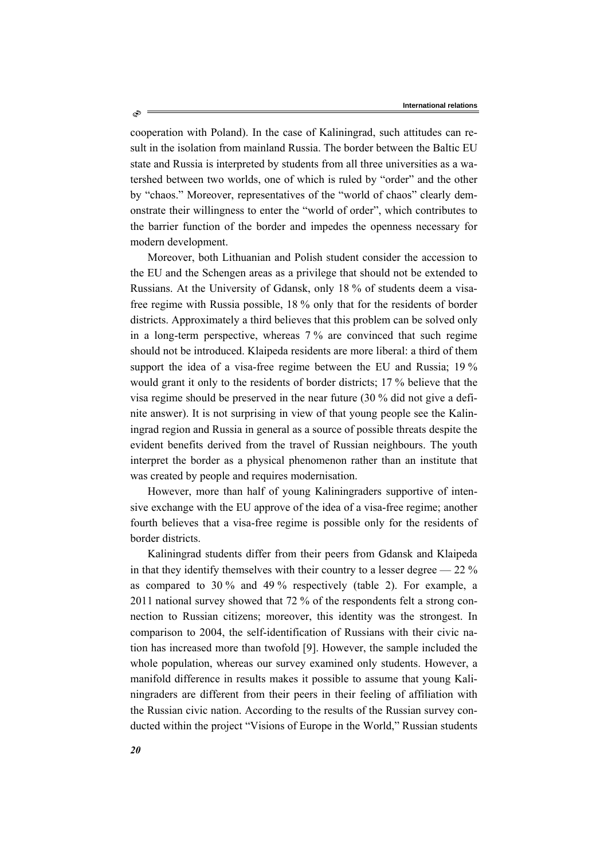cooperation with Poland). In the case of Kaliningrad, such attitudes can result in the isolation from mainland Russia. The border between the Baltic EU state and Russia is interpreted by students from all three universities as a watershed between two worlds, one of which is ruled by "order" and the other by "chaos." Moreover, representatives of the "world of chaos" clearly demonstrate their willingness to enter the "world of order", which contributes to the barrier function of the border and impedes the openness necessary for modern development.

Moreover, both Lithuanian and Polish student consider the accession to the EU and the Schengen areas as a privilege that should not be extended to Russians. At the University of Gdansk, only 18 % of students deem a visafree regime with Russia possible, 18 % only that for the residents of border districts. Approximately a third believes that this problem can be solved only in a long-term perspective, whereas 7 % are convinced that such regime should not be introduced. Klaipeda residents are more liberal: a third of them support the idea of a visa-free regime between the EU and Russia; 19 % would grant it only to the residents of border districts; 17 % believe that the visa regime should be preserved in the near future (30 % did not give a definite answer). It is not surprising in view of that young people see the Kaliningrad region and Russia in general as a source of possible threats despite the evident benefits derived from the travel of Russian neighbours. The youth interpret the border as a physical phenomenon rather than an institute that was created by people and requires modernisation.

However, more than half of young Kaliningraders supportive of intensive exchange with the EU approve of the idea of a visa-free regime; another fourth believes that a visa-free regime is possible only for the residents of border districts.

Kaliningrad students differ from their peers from Gdansk and Klaipeda in that they identify themselves with their country to a lesser degree  $-22\%$ as compared to 30 % and 49 % respectively (table 2). For example, a 2011 national survey showed that 72 % of the respondents felt a strong connection to Russian citizens; moreover, this identity was the strongest. In comparison to 2004, the self-identification of Russians with their civic nation has increased more than twofold [9]. However, the sample included the whole population, whereas our survey examined only students. However, a manifold difference in results makes it possible to assume that young Kaliningraders are different from their peers in their feeling of affiliation with the Russian civic nation. According to the results of the Russian survey conducted within the project "Visions of Europe in the World," Russian students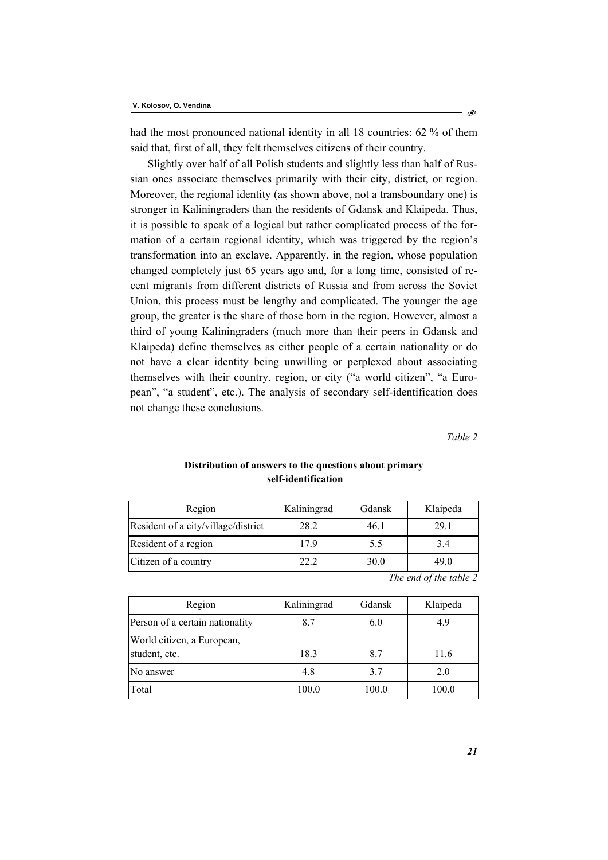had the most pronounced national identity in all 18 countries: 62 % of them said that, first of all, they felt themselves citizens of their country.

Slightly over half of all Polish students and slightly less than half of Russian ones associate themselves primarily with their city, district, or region. Moreover, the regional identity (as shown above, not a transboundary one) is stronger in Kaliningraders than the residents of Gdansk and Klaipeda. Thus, it is possible to speak of a logical but rather complicated process of the formation of a certain regional identity, which was triggered by the region's transformation into an exclave. Apparently, in the region, whose population changed completely just 65 years ago and, for a long time, consisted of recent migrants from different districts of Russia and from across the Soviet Union, this process must be lengthy and complicated. The younger the age group, the greater is the share of those born in the region. However, almost a third of young Kaliningraders (much more than their peers in Gdansk and Klaipeda) define themselves as either people of a certain nationality or do not have a clear identity being unwilling or perplexed about associating themselves with their country, region, or city ("a world citizen", "a European", "a student", etc.). The analysis of secondary self-identification does not change these conclusions.

*Table 2* 

| Region                              | Kaliningrad | <b>G</b> dansk | Klaipeda                            |
|-------------------------------------|-------------|----------------|-------------------------------------|
| Resident of a city/village/district | 28.2        | 46.1           | 29.1                                |
| Resident of a region                | 179         | 5.5            | 3.4                                 |
| Citizen of a country                | 22.2        | 30.0           | 49.0                                |
|                                     |             | $-1$           | $1 \quad 0 \quad 1 \quad 1 \quad 2$ |

### **Distribution of answers to the questions about primary self-identification**

| Region                                      | Kaliningrad | Gdansk | Klaipeda |
|---------------------------------------------|-------------|--------|----------|
| Person of a certain nationality             | 8.7         | 6.0    | 4.9      |
| World citizen, a European,<br>student, etc. | 18.3        | 8.7    | 11.6     |
| No answer                                   | 4.8         | 37     | 2.0      |
| Total                                       | 100.0       | 100.0  | 100.0    |

*The end of the table 2*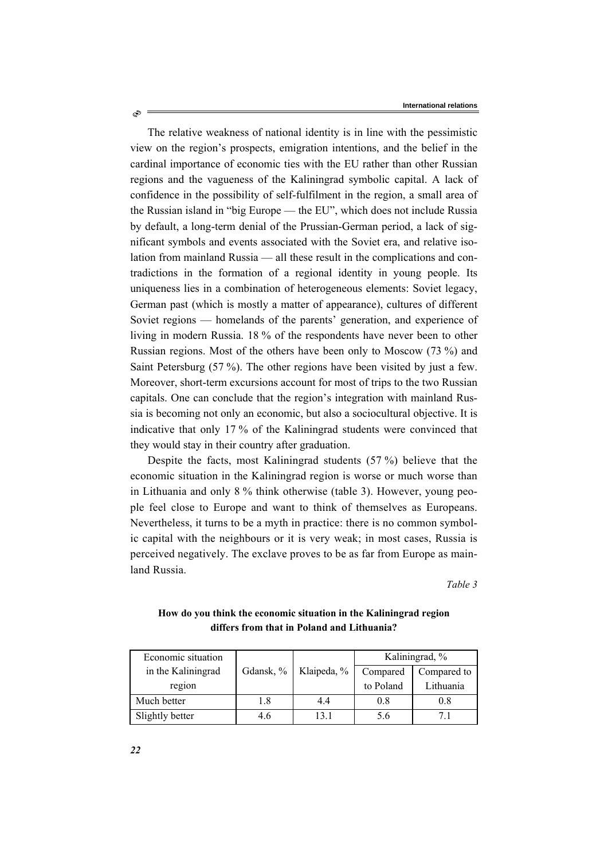The relative weakness of national identity is in line with the pessimistic view on the region's prospects, emigration intentions, and the belief in the cardinal importance of economic ties with the EU rather than other Russian regions and the vagueness of the Kaliningrad symbolic capital. A lack of confidence in the possibility of self-fulfilment in the region, a small area of the Russian island in "big Europe — the EU", which does not include Russia by default, a long-term denial of the Prussian-German period, a lack of significant symbols and events associated with the Soviet era, and relative isolation from mainland Russia — all these result in the complications and contradictions in the formation of a regional identity in young people. Its uniqueness lies in a combination of heterogeneous elements: Soviet legacy, German past (which is mostly a matter of appearance), cultures of different Soviet regions — homelands of the parents' generation, and experience of living in modern Russia. 18 % of the respondents have never been to other Russian regions. Most of the others have been only to Moscow (73 %) and Saint Petersburg (57 %). The other regions have been visited by just a few. Moreover, short-term excursions account for most of trips to the two Russian capitals. One can conclude that the region's integration with mainland Russia is becoming not only an economic, but also a sociocultural objective. It is indicative that only 17 % of the Kaliningrad students were convinced that they would stay in their country after graduation.

Despite the facts, most Kaliningrad students (57 %) believe that the economic situation in the Kaliningrad region is worse or much worse than in Lithuania and only 8 % think otherwise (table 3). However, young people feel close to Europe and want to think of themselves as Europeans. Nevertheless, it turns to be a myth in practice: there is no common symbolic capital with the neighbours or it is very weak; in most cases, Russia is perceived negatively. The exclave proves to be as far from Europe as mainland Russia.

*Table 3* 

| Economic situation |           |             | Kaliningrad, % |             |
|--------------------|-----------|-------------|----------------|-------------|
| in the Kaliningrad | Gdansk, % | Klaipeda, % | Compared       | Compared to |
| region             |           |             | to Poland      | Lithuania   |
| Much better        | 1.8       | 44          | 0.8            | 0.8         |
| Slightly better    |           | 13 1        | 5.6            |             |

**How do you think the economic situation in the Kaliningrad region differs from that in Poland and Lithuania?**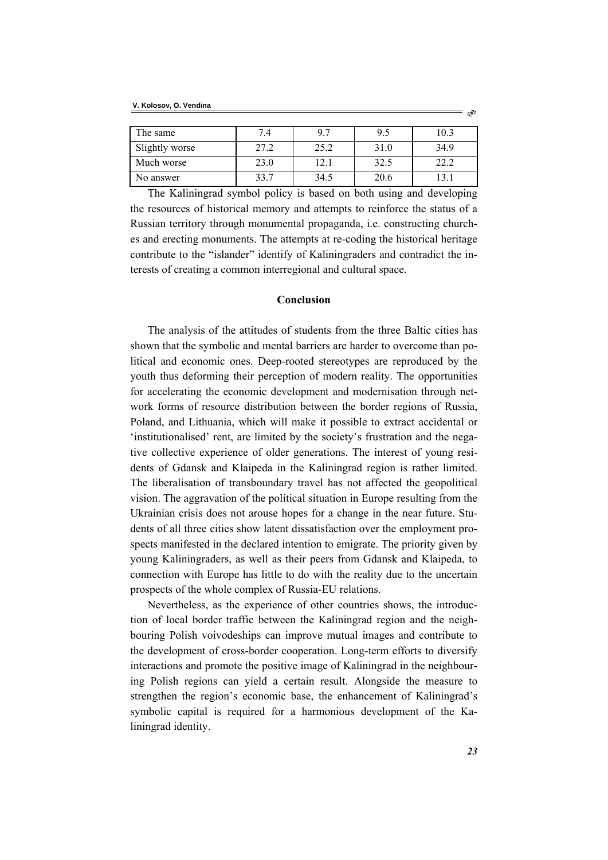| The same       | 7.4  | 97   | 9.5  | 10.3 |
|----------------|------|------|------|------|
| Slightly worse | 27.2 | 25.2 | 31.0 | 34.9 |
| Much worse     | 23.0 | 12.1 | 32.5 | 22.2 |
| No answer      | 33.7 | 34.5 | 20.6 |      |

The Kaliningrad symbol policy is based on both using and developing the resources of historical memory and attempts to reinforce the status of a Russian territory through monumental propaganda, i.e. constructing churches and erecting monuments. The attempts at re-coding the historical heritage contribute to the "islander" identify of Kaliningraders and contradict the interests of creating a common interregional and cultural space.

### **Conclusion**

The analysis of the attitudes of students from the three Baltic cities has shown that the symbolic and mental barriers are harder to overcome than political and economic ones. Deep-rooted stereotypes are reproduced by the youth thus deforming their perception of modern reality. The opportunities for accelerating the economic development and modernisation through network forms of resource distribution between the border regions of Russia, Poland, and Lithuania, which will make it possible to extract accidental or 'institutionalised' rent, are limited by the society's frustration and the negative collective experience of older generations. The interest of young residents of Gdansk and Klaipeda in the Kaliningrad region is rather limited. The liberalisation of transboundary travel has not affected the geopolitical vision. The aggravation of the political situation in Europe resulting from the Ukrainian crisis does not arouse hopes for a change in the near future. Students of all three cities show latent dissatisfaction over the employment prospects manifested in the declared intention to emigrate. The priority given by young Kaliningraders, as well as their peers from Gdansk and Klaipeda, to connection with Europe has little to do with the reality due to the uncertain prospects of the whole complex of Russia-EU relations.

Nevertheless, as the experience of other countries shows, the introduction of local border traffic between the Kaliningrad region and the neighbouring Polish voivodeships can improve mutual images and contribute to the development of cross-border cooperation. Long-term efforts to diversify interactions and promote the positive image of Kaliningrad in the neighbouring Polish regions can yield a certain result. Alongside the measure to strengthen the region's economic base, the enhancement of Kaliningrad's symbolic capital is required for a harmonious development of the Kaliningrad identity.

ನಿ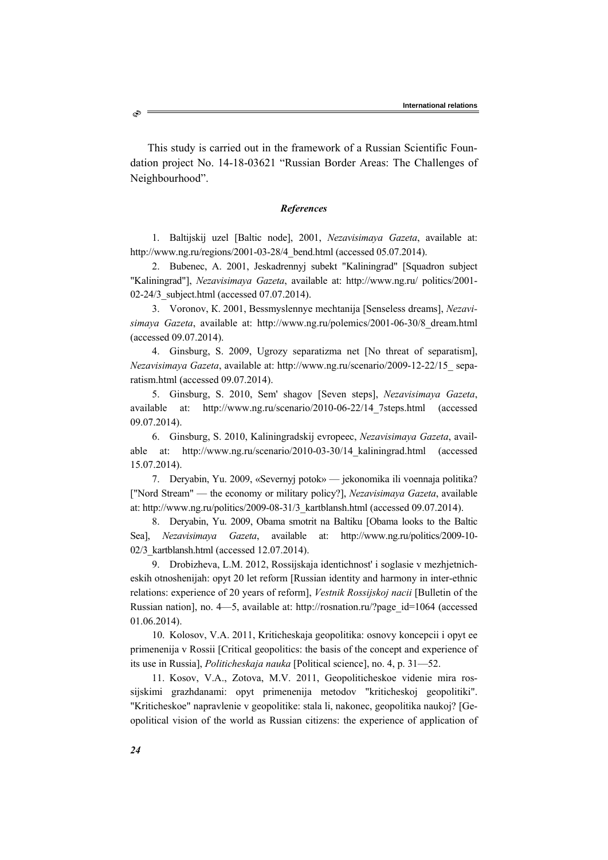This study is carried out in the framework of a Russian Scientific Foundation project No. 14-18-03621 "Russian Border Areas: The Challenges of Neighbourhood".

#### *References*

1. Baltijskij uzel [Baltic node], 2001, *Nezavisimaya Gazeta*, available at: http://www.ng.ru/regions/2001-03-28/4\_bend.html (accessed 05.07.2014).

2. Bubenec, А. 2001, Jeskadrennyj subekt "Kaliningrad" [Squadron subject "Kaliningrad"], *Nezavisimaya Gazeta*, available at: http://www.ng.ru/ politics/2001- 02-24/3 subject.html (accessed 07.07.2014).

3. Voronov, К. 2001, Bessmyslennye mechtanija [Senseless dreams], *Nezavisimaya Gazeta*, available at: http://www.ng.ru/polemics/2001-06-30/8\_dream.html (accessed 09.07.2014).

4. Ginsburg, S. 2009, Ugrozy separatizma net [No threat of separatism], *Nezavisimaya Gazeta*, available at: http://www.ng.ru/scenario/2009-12-22/15\_ separatism.html (accessed 09.07.2014).

5. Ginsburg, S. 2010, Sem' shagov [Seven steps], *Nezavisimaya Gazeta*, available at: http://www.ng.ru/scenario/2010-06-22/14\_7steps.html (accessed 09.07.2014).

6. Ginsburg, S. 2010, Kaliningradskij evropeec, *Nezavisimaya Gazeta*, available at: http://www.ng.ru/scenario/2010-03-30/14\_kaliningrad.html (accessed 15.07.2014).

7. Deryabin, Yu. 2009, «Severnyj potok» — jekonomika ili voennaja politika? ["Nord Stream" — the economy or military policy?], *Nezavisimaya Gazeta*, available at: http://www.ng.ru/politics/2009-08-31/3\_kartblansh.html (accessed 09.07.2014).

8. Deryabin, Yu. 2009, Obama smotrit na Baltiku [Obama looks to the Baltic Sea], *Nezavisimaya Gazeta*, available at: http://www.ng.ru/politics/2009-10- 02/3\_kartblansh.html (accessed 12.07.2014).

9. Drobizheva, L.М. 2012, Rossijskaja identichnost' i soglasie v mezhjetnicheskih otnoshenijah: opyt 20 let reform [Russian identity and harmony in inter-ethnic relations: experience of 20 years of reform], *Vestnik Rossijskoj nacii* [Bulletin of the Russian nation], no. 4—5, available at: http://rosnation.ru/?page\_id=1064 (accessed 01.06.2014).

10. Kolosov, V.А. 2011, Kriticheskaja geopolitika: osnovy koncepcii i opyt ee primenenija v Rossii [Critical geopolitics: the basis of the concept and experience of its use in Russia], *Politicheskaja nauka* [Political science], no. 4, p. 31—52.

11. Kosov, V.А., Zotova, М.V. 2011, Geopoliticheskoe videnie mira rossijskimi grazhdanami: opyt primenenija metodov "kriticheskoj geopolitiki". "Kriticheskoe" napravlenie v geopolitike: stala li, nakonec, geopolitika naukoj? [Geopolitical vision of the world as Russian citizens: the experience of application of

È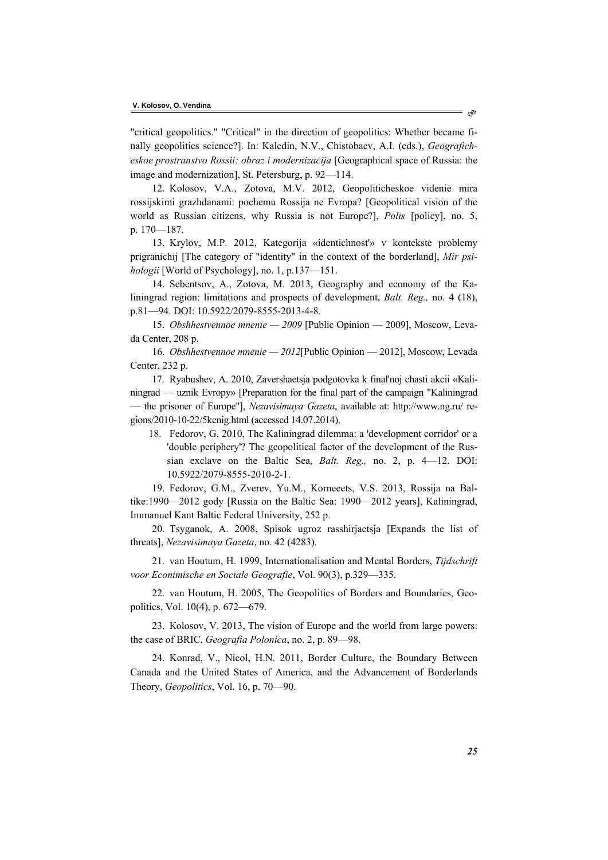"critical geopolitics." "Critical" in the direction of geopolitics: Whether became finally geopolitics science?]. In: Kaledin, N.V., Chistobaev, A.I. (eds.), *Geograficheskoe prostranstvo Rossii: obraz i modernizacija* [Geographical space of Russia: the image and modernization], St. Petersburg, p. 92—114.

12. Kolosov, V.А., Zotova, М.V. 2012, Geopoliticheskoe videnie mira rossijskimi grazhdanami: pochemu Rossija ne Evropa? [Geopolitical vision of the world as Russian citizens, why Russia is not Europe?], *Polis* [policy], no. 5, p. 170—187.

13. Krylov, М.P. 2012, Kategorija «identichnost'» v kontekste problemy prigranichij [The category of "identity" in the context of the borderland], *Mir psihologii* [World of Psychology], no. 1, p.137—151.

14. Sebentsov, A., Zotova, M. 2013, Geography and economy of the Kaliningrad region: limitations and prospects of development, *Balt. Reg.,* no. 4 (18), p.81—94. DOI: 10.5922/2079-8555-2013-4-8.

15. *Obshhestvennoe mnenie — 2009* [Public Opinion — 2009], Moscow, Levada Center, 208 p.

16. *Obshhestvennoe mnenie — 2012*[Public Opinion — 2012], Moscow, Levada Center, 232 p.

17. Ryabushev, А. 2010, Zavershaetsja podgotovka k final'noj chasti akcii «Kaliningrad — uznik Evropy» [Preparation for the final part of the campaign "Kaliningrad — the prisoner of Europe"], *Nezavisimaya Gazeta*, available at: http://www.ng.ru/ regions/2010-10-22/5kenig.html (accessed 14.07.2014).

18. Fedorov, G. 2010, The Kaliningrad dilemma: a 'development corridor' or a 'double periphery'? The geopolitical factor of the development of the Russian exclave on the Baltic Sea, *Balt. Reg.,* no. 2, p. 4—12. DOI: 10.5922/2079-8555-2010-2-1.

19. Fedorov, G.М., Zverev, Yu.М., Korneeets, V.S. 2013, Rossija na Baltike:1990—2012 gody [Russia on the Baltic Sea: 1990—2012 years], Kaliningrad, Immanuel Kant Baltic Federal University, 252 p.

20. Tsyganok, А. 2008, Spisok ugroz rasshirjaetsja [Expands the list of threats], *Nezavisimaya Gazeta*, no. 42 (4283).

21. van Houtum, H. 1999, Internationalisation and Mental Borders, *Tijdschrift voor Econimische en Sociale Geografie*, Vol. 90(3), p.329—335.

22. van Houtum, H. 2005, The Geopolitics of Borders and Boundaries, Geopolitics, Vol. 10(4), p. 672—679.

23. Кolosov, V. 2013, The vision of Europe and the world from large powers: the case of BRIC, *Geografia Polonica*, no. 2, p. 89—98.

24. Konrad, V., Nicol, H.N. 2011, Border Culture, the Boundary Between Canada and the United States of America, and the Advancement of Borderlands Theory, *Geopolitics*, Vol. 16, p. 70—90.